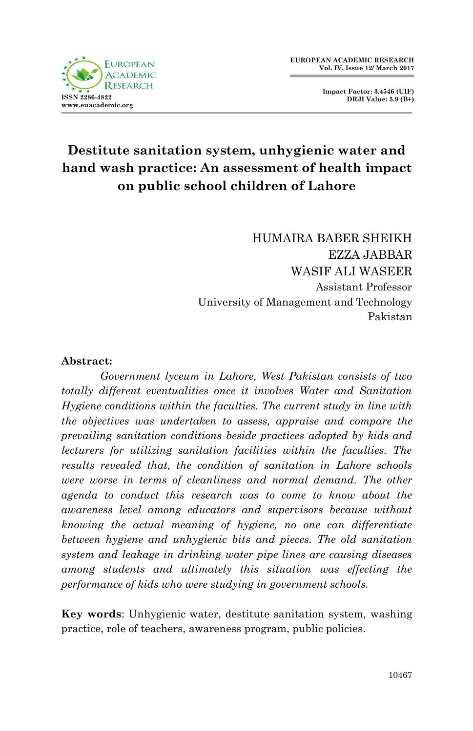

**Impact Factor: 3.4546 (UIF) DRJI Value: 5.9 (B+)**

# **Destitute sanitation system, unhygienic water and hand wash practice: An assessment of health impact on public school children of Lahore**

HUMAIRA BABER SHEIKH EZZA JABBAR WASIF ALI WASEER Assistant Professor University of Management and Technology Pakistan

#### **Abstract:**

*Government lyceum in Lahore, West Pakistan consists of two totally different eventualities once it involves Water and Sanitation Hygiene conditions within the faculties. The current study in line with the objectives was undertaken to assess, appraise and compare the prevailing sanitation conditions beside practices adopted by kids and lecturers for utilizing sanitation facilities within the faculties. The results revealed that, the condition of sanitation in Lahore schools were worse in terms of cleanliness and normal demand. The other agenda to conduct this research was to come to know about the awareness level among educators and supervisors because without knowing the actual meaning of hygiene, no one can differentiate between hygiene and unhygienic bits and pieces. The old sanitation system and leakage in drinking water pipe lines are causing diseases among students and ultimately this situation was effecting the performance of kids who were studying in government schools.*

**Key words**: Unhygienic water, destitute sanitation system, washing practice, role of teachers, awareness program, public policies.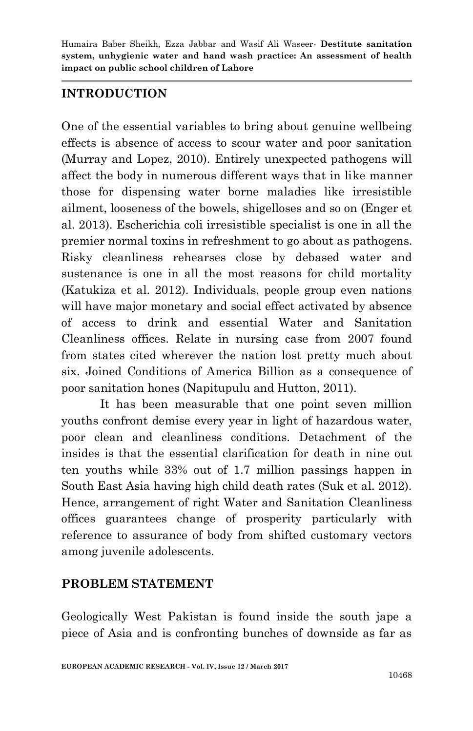### **INTRODUCTION**

One of the essential variables to bring about genuine wellbeing effects is absence of access to scour water and poor sanitation (Murray and Lopez, 2010). Entirely unexpected pathogens will affect the body in numerous different ways that in like manner those for dispensing water borne maladies like irresistible ailment, looseness of the bowels, shigelloses and so on (Enger et al. 2013). Escherichia coli irresistible specialist is one in all the premier normal toxins in refreshment to go about as pathogens. Risky cleanliness rehearses close by debased water and sustenance is one in all the most reasons for child mortality (Katukiza et al. 2012). Individuals, people group even nations will have major monetary and social effect activated by absence of access to drink and essential Water and Sanitation Cleanliness offices. Relate in nursing case from 2007 found from states cited wherever the nation lost pretty much about six. Joined Conditions of America Billion as a consequence of poor sanitation hones (Napitupulu and Hutton, 2011).

It has been measurable that one point seven million youths confront demise every year in light of hazardous water, poor clean and cleanliness conditions. Detachment of the insides is that the essential clarification for death in nine out ten youths while 33% out of 1.7 million passings happen in South East Asia having high child death rates (Suk et al. 2012). Hence, arrangement of right Water and Sanitation Cleanliness offices guarantees change of prosperity particularly with reference to assurance of body from shifted customary vectors among juvenile adolescents.

# **PROBLEM STATEMENT**

Geologically West Pakistan is found inside the south jape a piece of Asia and is confronting bunches of downside as far as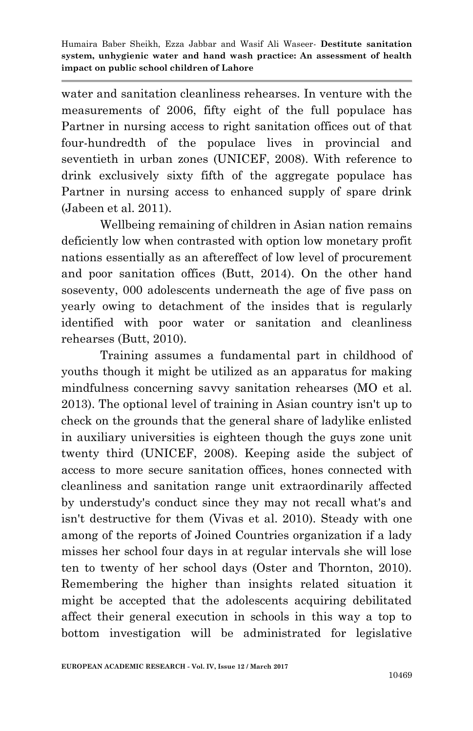water and sanitation cleanliness rehearses. In venture with the measurements of 2006, fifty eight of the full populace has Partner in nursing access to right sanitation offices out of that four-hundredth of the populace lives in provincial and seventieth in urban zones (UNICEF, 2008). With reference to drink exclusively sixty fifth of the aggregate populace has Partner in nursing access to enhanced supply of spare drink (Jabeen et al. 2011).

Wellbeing remaining of children in Asian nation remains deficiently low when contrasted with option low monetary profit nations essentially as an aftereffect of low level of procurement and poor sanitation offices (Butt, 2014). On the other hand soseventy, 000 adolescents underneath the age of five pass on yearly owing to detachment of the insides that is regularly identified with poor water or sanitation and cleanliness rehearses (Butt, 2010).

Training assumes a fundamental part in childhood of youths though it might be utilized as an apparatus for making mindfulness concerning savvy sanitation rehearses (MO et al. 2013). The optional level of training in Asian country isn't up to check on the grounds that the general share of ladylike enlisted in auxiliary universities is eighteen though the guys zone unit twenty third (UNICEF, 2008). Keeping aside the subject of access to more secure sanitation offices, hones connected with cleanliness and sanitation range unit extraordinarily affected by understudy's conduct since they may not recall what's and isn't destructive for them (Vivas et al. 2010). Steady with one among of the reports of Joined Countries organization if a lady misses her school four days in at regular intervals she will lose ten to twenty of her school days (Oster and Thornton, 2010). Remembering the higher than insights related situation it might be accepted that the adolescents acquiring debilitated affect their general execution in schools in this way a top to bottom investigation will be administrated for legislative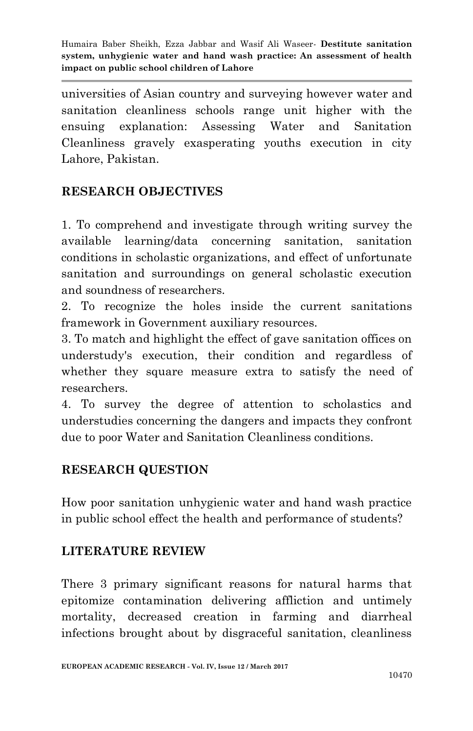universities of Asian country and surveying however water and sanitation cleanliness schools range unit higher with the ensuing explanation: Assessing Water and Sanitation Cleanliness gravely exasperating youths execution in city Lahore, Pakistan.

# **RESEARCH OBJECTIVES**

1. To comprehend and investigate through writing survey the available learning/data concerning sanitation, sanitation conditions in scholastic organizations, and effect of unfortunate sanitation and surroundings on general scholastic execution and soundness of researchers.

2. To recognize the holes inside the current sanitations framework in Government auxiliary resources.

3. To match and highlight the effect of gave sanitation offices on understudy's execution, their condition and regardless of whether they square measure extra to satisfy the need of researchers.

4. To survey the degree of attention to scholastics and understudies concerning the dangers and impacts they confront due to poor Water and Sanitation Cleanliness conditions.

# **RESEARCH QUESTION**

How poor sanitation unhygienic water and hand wash practice in public school effect the health and performance of students?

# **LITERATURE REVIEW**

There 3 primary significant reasons for natural harms that epitomize contamination delivering affliction and untimely mortality, decreased creation in farming and diarrheal infections brought about by disgraceful sanitation, cleanliness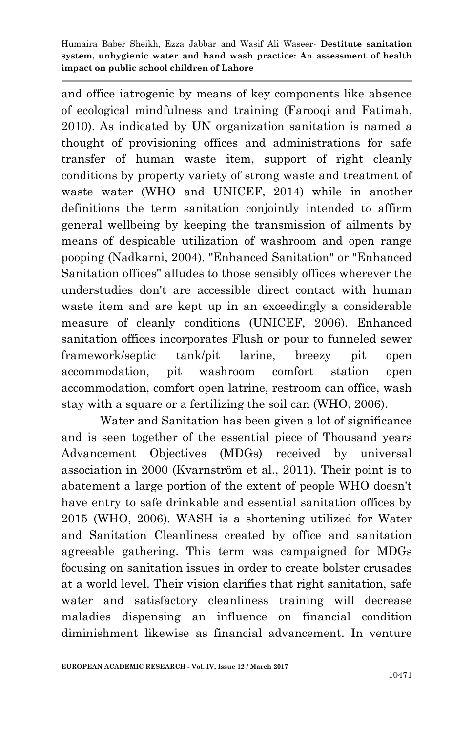and office iatrogenic by means of key components like absence of ecological mindfulness and training (Farooqi and Fatimah, 2010). As indicated by UN organization sanitation is named a thought of provisioning offices and administrations for safe transfer of human waste item, support of right cleanly conditions by property variety of strong waste and treatment of waste water (WHO and UNICEF, 2014) while in another definitions the term sanitation conjointly intended to affirm general wellbeing by keeping the transmission of ailments by means of despicable utilization of washroom and open range pooping (Nadkarni, 2004). "Enhanced Sanitation" or "Enhanced Sanitation offices" alludes to those sensibly offices wherever the understudies don't are accessible direct contact with human waste item and are kept up in an exceedingly a considerable measure of cleanly conditions (UNICEF, 2006). Enhanced sanitation offices incorporates Flush or pour to funneled sewer framework/septic tank/pit larine, breezy pit open accommodation, pit washroom comfort station open accommodation, comfort open latrine, restroom can office, wash stay with a square or a fertilizing the soil can (WHO, 2006).

Water and Sanitation has been given a lot of significance and is seen together of the essential piece of Thousand years Advancement Objectives (MDGs) received by universal association in 2000 (Kvarnström et al., 2011). Their point is to abatement a large portion of the extent of people WHO doesn't have entry to safe drinkable and essential sanitation offices by 2015 (WHO, 2006). WASH is a shortening utilized for Water and Sanitation Cleanliness created by office and sanitation agreeable gathering. This term was campaigned for MDGs focusing on sanitation issues in order to create bolster crusades at a world level. Their vision clarifies that right sanitation, safe water and satisfactory cleanliness training will decrease maladies dispensing an influence on financial condition diminishment likewise as financial advancement. In venture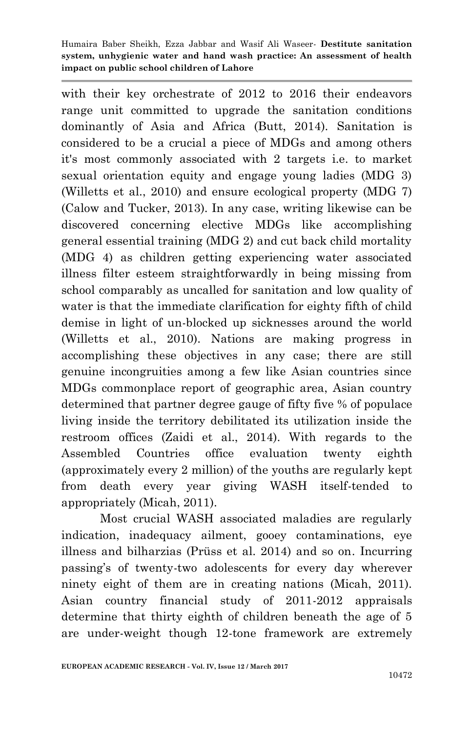with their key orchestrate of 2012 to 2016 their endeavors range unit committed to upgrade the sanitation conditions dominantly of Asia and Africa (Butt, 2014). Sanitation is considered to be a crucial a piece of MDGs and among others it's most commonly associated with 2 targets i.e. to market sexual orientation equity and engage young ladies (MDG 3) (Willetts et al., 2010) and ensure ecological property (MDG 7) (Calow and Tucker, 2013). In any case, writing likewise can be discovered concerning elective MDGs like accomplishing general essential training (MDG 2) and cut back child mortality (MDG 4) as children getting experiencing water associated illness filter esteem straightforwardly in being missing from school comparably as uncalled for sanitation and low quality of water is that the immediate clarification for eighty fifth of child demise in light of un-blocked up sicknesses around the world (Willetts et al., 2010). Nations are making progress in accomplishing these objectives in any case; there are still genuine incongruities among a few like Asian countries since MDGs commonplace report of geographic area, Asian country determined that partner degree gauge of fifty five % of populace living inside the territory debilitated its utilization inside the restroom offices (Zaidi et al., 2014). With regards to the Assembled Countries office evaluation twenty eighth (approximately every 2 million) of the youths are regularly kept from death every year giving WASH itself-tended to appropriately (Micah, 2011).

Most crucial WASH associated maladies are regularly indication, inadequacy ailment, gooey contaminations, eye illness and bilharzias (Prüss et al. 2014) and so on. Incurring passing's of twenty-two adolescents for every day wherever ninety eight of them are in creating nations (Micah, 2011). Asian country financial study of 2011-2012 appraisals determine that thirty eighth of children beneath the age of 5 are under-weight though 12-tone framework are extremely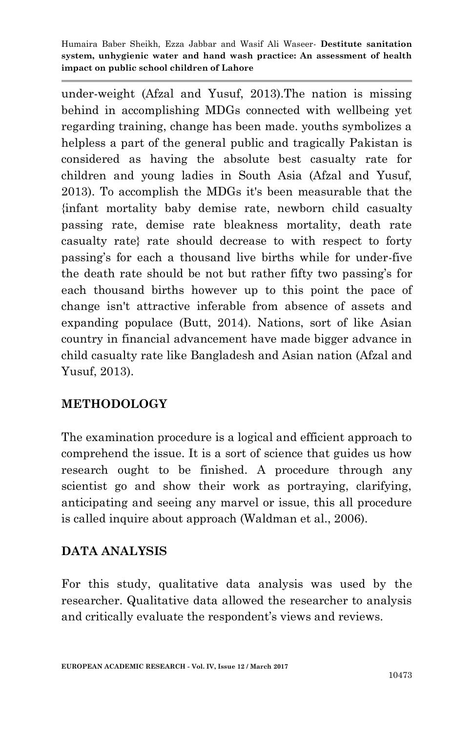under-weight (Afzal and Yusuf, 2013).The nation is missing behind in accomplishing MDGs connected with wellbeing yet regarding training, change has been made. youths symbolizes a helpless a part of the general public and tragically Pakistan is considered as having the absolute best casualty rate for children and young ladies in South Asia (Afzal and Yusuf, 2013). To accomplish the MDGs it's been measurable that the {infant mortality baby demise rate, newborn child casualty passing rate, demise rate bleakness mortality, death rate casualty rate} rate should decrease to with respect to forty passing's for each a thousand live births while for under-five the death rate should be not but rather fifty two passing's for each thousand births however up to this point the pace of change isn't attractive inferable from absence of assets and expanding populace (Butt, 2014). Nations, sort of like Asian country in financial advancement have made bigger advance in child casualty rate like Bangladesh and Asian nation (Afzal and Yusuf, 2013).

# **METHODOLOGY**

The examination procedure is a logical and efficient approach to comprehend the issue. It is a sort of science that guides us how research ought to be finished. A procedure through any scientist go and show their work as portraying, clarifying, anticipating and seeing any marvel or issue, this all procedure is called inquire about approach (Waldman et al., 2006).

#### **DATA ANALYSIS**

For this study, qualitative data analysis was used by the researcher. Qualitative data allowed the researcher to analysis and critically evaluate the respondent's views and reviews.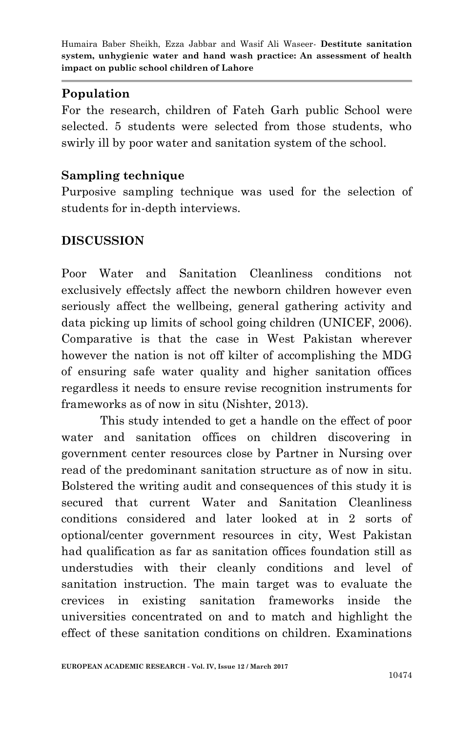## **Population**

For the research, children of Fateh Garh public School were selected. 5 students were selected from those students, who swirly ill by poor water and sanitation system of the school.

### **Sampling technique**

Purposive sampling technique was used for the selection of students for in-depth interviews.

## **DISCUSSION**

Poor Water and Sanitation Cleanliness conditions not exclusively effectsly affect the newborn children however even seriously affect the wellbeing, general gathering activity and data picking up limits of school going children (UNICEF, 2006). Comparative is that the case in West Pakistan wherever however the nation is not off kilter of accomplishing the MDG of ensuring safe water quality and higher sanitation offices regardless it needs to ensure revise recognition instruments for frameworks as of now in situ (Nishter, 2013).

This study intended to get a handle on the effect of poor water and sanitation offices on children discovering in government center resources close by Partner in Nursing over read of the predominant sanitation structure as of now in situ. Bolstered the writing audit and consequences of this study it is secured that current Water and Sanitation Cleanliness conditions considered and later looked at in 2 sorts of optional/center government resources in city, West Pakistan had qualification as far as sanitation offices foundation still as understudies with their cleanly conditions and level of sanitation instruction. The main target was to evaluate the crevices in existing sanitation frameworks inside the universities concentrated on and to match and highlight the effect of these sanitation conditions on children. Examinations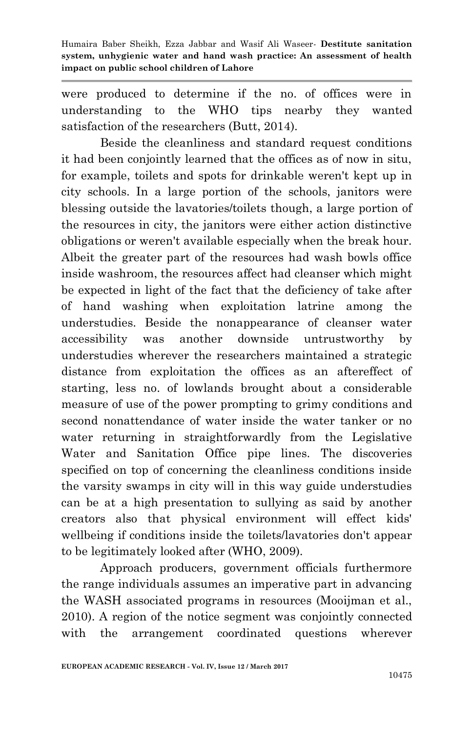were produced to determine if the no. of offices were in understanding to the WHO tips nearby they wanted satisfaction of the researchers (Butt, 2014).

Beside the cleanliness and standard request conditions it had been conjointly learned that the offices as of now in situ, for example, toilets and spots for drinkable weren't kept up in city schools. In a large portion of the schools, janitors were blessing outside the lavatories/toilets though, a large portion of the resources in city, the janitors were either action distinctive obligations or weren't available especially when the break hour. Albeit the greater part of the resources had wash bowls office inside washroom, the resources affect had cleanser which might be expected in light of the fact that the deficiency of take after of hand washing when exploitation latrine among the understudies. Beside the nonappearance of cleanser water accessibility was another downside untrustworthy by understudies wherever the researchers maintained a strategic distance from exploitation the offices as an aftereffect of starting, less no. of lowlands brought about a considerable measure of use of the power prompting to grimy conditions and second nonattendance of water inside the water tanker or no water returning in straightforwardly from the Legislative Water and Sanitation Office pipe lines. The discoveries specified on top of concerning the cleanliness conditions inside the varsity swamps in city will in this way guide understudies can be at a high presentation to sullying as said by another creators also that physical environment will effect kids' wellbeing if conditions inside the toilets/lavatories don't appear to be legitimately looked after (WHO, 2009).

Approach producers, government officials furthermore the range individuals assumes an imperative part in advancing the WASH associated programs in resources (Mooijman et al., 2010). A region of the notice segment was conjointly connected with the arrangement coordinated questions wherever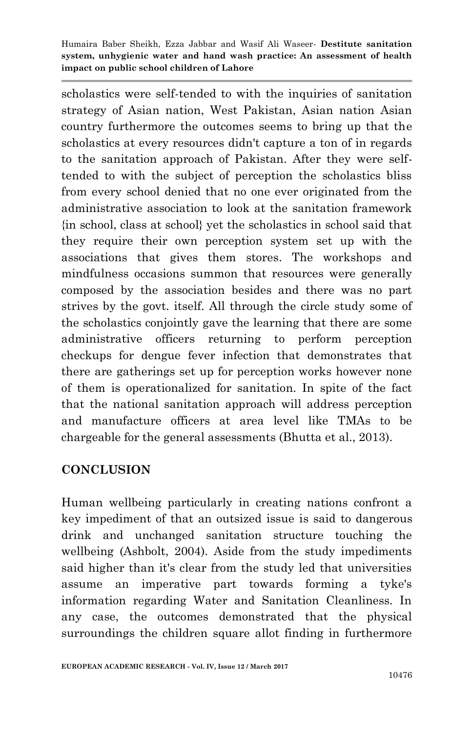scholastics were self-tended to with the inquiries of sanitation strategy of Asian nation, West Pakistan, Asian nation Asian country furthermore the outcomes seems to bring up that the scholastics at every resources didn't capture a ton of in regards to the sanitation approach of Pakistan. After they were selftended to with the subject of perception the scholastics bliss from every school denied that no one ever originated from the administrative association to look at the sanitation framework {in school, class at school} yet the scholastics in school said that they require their own perception system set up with the associations that gives them stores. The workshops and mindfulness occasions summon that resources were generally composed by the association besides and there was no part strives by the govt. itself. All through the circle study some of the scholastics conjointly gave the learning that there are some administrative officers returning to perform perception checkups for dengue fever infection that demonstrates that there are gatherings set up for perception works however none of them is operationalized for sanitation. In spite of the fact that the national sanitation approach will address perception and manufacture officers at area level like TMAs to be chargeable for the general assessments (Bhutta et al., 2013).

#### **CONCLUSION**

Human wellbeing particularly in creating nations confront a key impediment of that an outsized issue is said to dangerous drink and unchanged sanitation structure touching the wellbeing (Ashbolt, 2004). Aside from the study impediments said higher than it's clear from the study led that universities assume an imperative part towards forming a tyke's information regarding Water and Sanitation Cleanliness. In any case, the outcomes demonstrated that the physical surroundings the children square allot finding in furthermore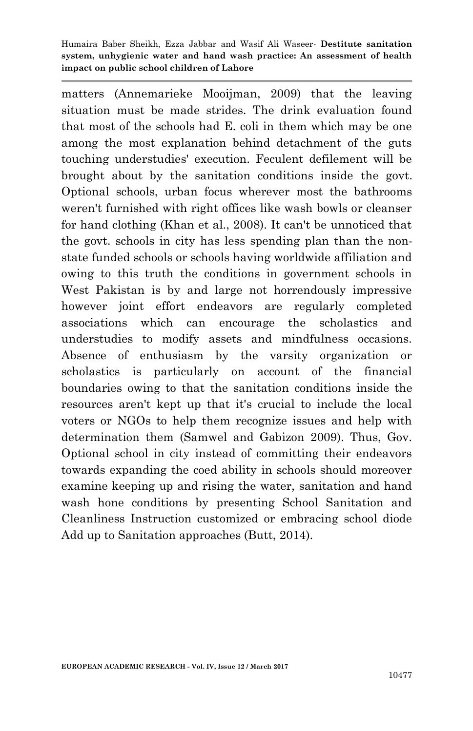matters (Annemarieke Mooijman, 2009) that the leaving situation must be made strides. The drink evaluation found that most of the schools had E. coli in them which may be one among the most explanation behind detachment of the guts touching understudies' execution. Feculent defilement will be brought about by the sanitation conditions inside the govt. Optional schools, urban focus wherever most the bathrooms weren't furnished with right offices like wash bowls or cleanser for hand clothing (Khan et al., 2008). It can't be unnoticed that the govt. schools in city has less spending plan than the nonstate funded schools or schools having worldwide affiliation and owing to this truth the conditions in government schools in West Pakistan is by and large not horrendously impressive however joint effort endeavors are regularly completed associations which can encourage the scholastics and understudies to modify assets and mindfulness occasions. Absence of enthusiasm by the varsity organization or scholastics is particularly on account of the financial boundaries owing to that the sanitation conditions inside the resources aren't kept up that it's crucial to include the local voters or NGOs to help them recognize issues and help with determination them (Samwel and Gabizon 2009). Thus, Gov. Optional school in city instead of committing their endeavors towards expanding the coed ability in schools should moreover examine keeping up and rising the water, sanitation and hand wash hone conditions by presenting School Sanitation and Cleanliness Instruction customized or embracing school diode Add up to Sanitation approaches (Butt, 2014).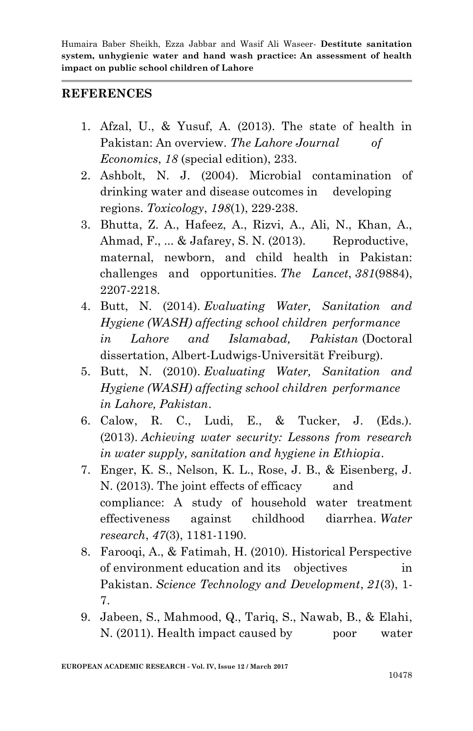#### **REFERENCES**

- 1. Afzal, U., & Yusuf, A. (2013). The state of health in Pakistan: An overview. *The Lahore Journal of Economics*, *18* (special edition), 233.
- 2. Ashbolt, N. J. (2004). Microbial contamination of drinking water and disease outcomes in developing regions. *Toxicology*, *198*(1), 229-238.
- 3. Bhutta, Z. A., Hafeez, A., Rizvi, A., Ali, N., Khan, A., Ahmad, F., ... & Jafarey, S. N. (2013). Reproductive, maternal, newborn, and child health in Pakistan: challenges and opportunities. *The Lancet*, *381*(9884), 2207-2218.
- 4. Butt, N. (2014). *Evaluating Water, Sanitation and Hygiene (WASH) affecting school children performance in Lahore and Islamabad, Pakistan* (Doctoral dissertation, Albert-Ludwigs-Universität Freiburg).
- 5. Butt, N. (2010). *Evaluating Water, Sanitation and Hygiene (WASH) affecting school children performance in Lahore, Pakistan*.
- 6. Calow, R. C., Ludi, E., & Tucker, J. (Eds.). (2013). *Achieving water security: Lessons from research in water supply, sanitation and hygiene in Ethiopia*.
- 7. Enger, K. S., Nelson, K. L., Rose, J. B., & Eisenberg, J. N. (2013). The joint effects of efficacy and compliance: A study of household water treatment effectiveness against childhood diarrhea. *Water research*, *47*(3), 1181-1190.
- 8. Farooqi, A., & Fatimah, H. (2010). Historical Perspective of environment education and its objectives in Pakistan. *Science Technology and Development*, *21*(3), 1- 7.
- 9. Jabeen, S., Mahmood, Q., Tariq, S., Nawab, B., & Elahi, N. (2011). Health impact caused by poor water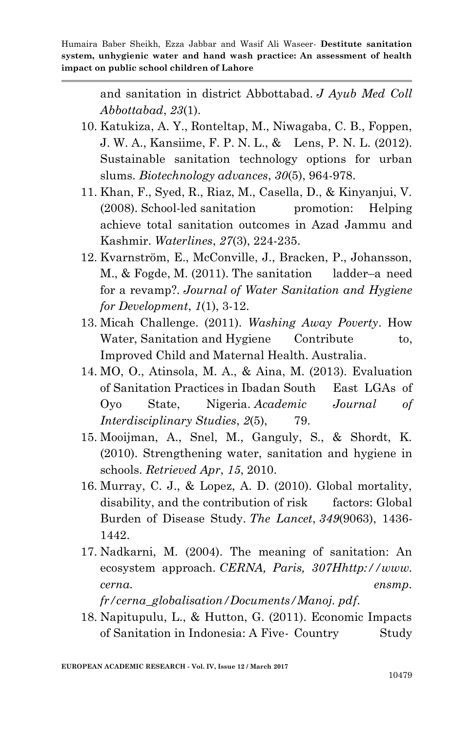> and sanitation in district Abbottabad. *J Ayub Med Coll Abbottabad*, *23*(1).

- 10. Katukiza, A. Y., Ronteltap, M., Niwagaba, C. B., Foppen, J. W. A., Kansiime, F. P. N. L., & Lens, P. N. L. (2012). Sustainable sanitation technology options for urban slums. *Biotechnology advances*, *30*(5), 964-978.
- 11. Khan, F., Syed, R., Riaz, M., Casella, D., & Kinyanjui, V.  $(2008)$ . School-led sanitation promotion: Helping achieve total sanitation outcomes in Azad Jammu and Kashmir. *Waterlines*, *27*(3), 224-235.
- 12. Kvarnström, E., McConville, J., Bracken, P., Johansson, M., & Fogde, M. (2011). The sanitation ladder–a need for a revamp?. *Journal of Water Sanitation and Hygiene for Development*, *1*(1), 3-12.
- 13. Micah Challenge. (2011). *Washing Away Poverty*. How Water, Sanitation and Hygiene Contribute to, Improved Child and Maternal Health. Australia.
- 14. MO, O., Atinsola, M. A., & Aina, M. (2013). Evaluation of Sanitation Practices in Ibadan South East LGAs of Oyo State, Nigeria. *Academic Journal of Interdisciplinary Studies*, *2*(5), 79.
- 15. Mooijman, A., Snel, M., Ganguly, S., & Shordt, K. (2010). Strengthening water, sanitation and hygiene in schools. *Retrieved Apr*, *15*, 2010.
- 16. Murray, C. J., & Lopez, A. D. (2010). Global mortality, disability, and the contribution of risk factors: Global Burden of Disease Study. *The Lancet*, *349*(9063), 1436- 1442.
- 17. Nadkarni, M. (2004). The meaning of sanitation: An ecosystem approach. *CERNA, Paris, 307Hhttp://www. cerna. ensmp.*

*fr/cerna\_globalisation/Documents/Manoj. pdf*.

18. Napitupulu, L., & Hutton, G. (2011). Economic Impacts of Sanitation in Indonesia: A Five-Country Study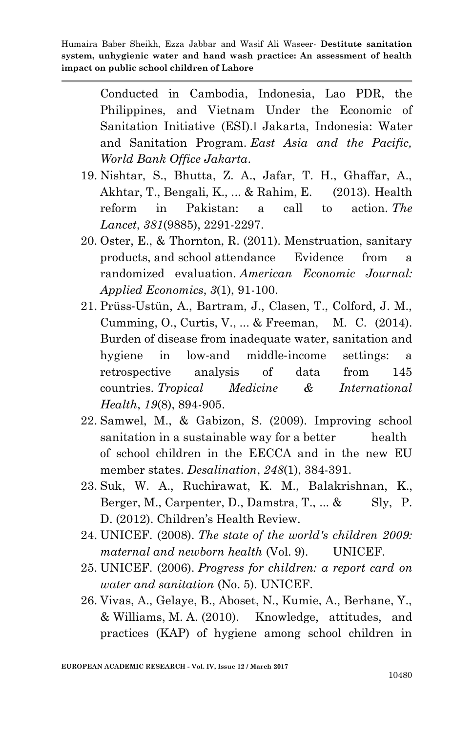> Conducted in Cambodia, Indonesia, Lao PDR, the Philippines, and Vietnam Under the Economic of Sanitation Initiative (ESI).‖ Jakarta, Indonesia: Water and Sanitation Program. *East Asia and the Pacific, World Bank Office Jakarta*.

- 19. Nishtar, S., Bhutta, Z. A., Jafar, T. H., Ghaffar, A., Akhtar, T., Bengali, K., ... & Rahim, E. (2013). Health reform in Pakistan: a call to action. *The Lancet*, *381*(9885), 2291-2297.
- 20. Oster, E., & Thornton, R. (2011). Menstruation, sanitary products, and school attendance Evidence from a randomized evaluation. *American Economic Journal: Applied Economics*, *3*(1), 91-100.
- 21. Prüss‐Ustün, A., Bartram, J., Clasen, T., Colford, J. M., Cumming, O., Curtis, V., ... & Freeman, M. C. (2014). Burden of disease from inadequate water, sanitation and hygiene in low‐and middle‐income settings: a retrospective analysis of data from 145 countries. *Tropical Medicine & International Health*, *19*(8), 894-905.
- 22. Samwel, M., & Gabizon, S. (2009). Improving school sanitation in a sustainable way for a better health of school children in the EECCA and in the new EU member states. *Desalination*, *248*(1), 384-391.
- 23. Suk, W. A., Ruchirawat, K. M., Balakrishnan, K., Berger, M., Carpenter, D., Damstra, T., ... & Sly, P. D. (2012). Children's Health Review.
- 24. UNICEF. (2008). *The state of the world's children 2009: maternal and newborn health* (Vol. 9). UNICEF.
- 25. UNICEF. (2006). *Progress for children: a report card on water and sanitation* (No. 5). UNICEF.
- 26. Vivas, A., Gelaye, B., Aboset, N., Kumie, A., Berhane, Y., & Williams, M. A. (2010). Knowledge, attitudes, and practices (KAP) of hygiene among school children in